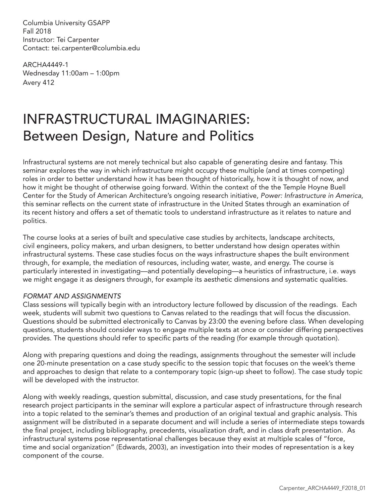Columbia University GSAPP Fall 2018 Instructor: Tei Carpenter Contact: tei.carpenter@columbia.edu

ARCHA4449-1 Wednesday 11:00am – 1:00pm Avery 412

# INFRASTRUCTURAL IMAGINARIES: Between Design, Nature and Politics

Infrastructural systems are not merely technical but also capable of generating desire and fantasy. This seminar explores the way in which infrastructure might occupy these multiple (and at times competing) roles in order to better understand how it has been thought of historically, how it is thought of now, and how it might be thought of otherwise going forward. Within the context of the the Temple Hoyne Buell Center for the Study of American Architecture's ongoing research initiative, *Power: Infrastructure in America*, this seminar reflects on the current state of infrastructure in the United States through an examination of its recent history and offers a set of thematic tools to understand infrastructure as it relates to nature and politics.

The course looks at a series of built and speculative case studies by architects, landscape architects, civil engineers, policy makers, and urban designers, to better understand how design operates within infrastructural systems. These case studies focus on the ways infrastructure shapes the built environment through, for example, the mediation of resources, including water, waste, and energy. The course is particularly interested in investigating—and potentially developing—a heuristics of infrastructure, i.e. ways we might engage it as designers through, for example its aesthetic dimensions and systematic qualities.

### *FORMAT AND ASSIGNMENTS*

Class sessions will typically begin with an introductory lecture followed by discussion of the readings. Each week, students will submit two questions to Canvas related to the readings that will focus the discussion. Questions should be submitted electronically to Canvas by 23:00 the evening before class. When developing questions, students should consider ways to engage multiple texts at once or consider differing perspectives provides. The questions should refer to specific parts of the reading (for example through quotation).

Along with preparing questions and doing the readings, assignments throughout the semester will include one 20-minute presentation on a case study specific to the session topic that focuses on the week's theme and approaches to design that relate to a contemporary topic (sign-up sheet to follow). The case study topic will be developed with the instructor.

Along with weekly readings, question submittal, discussion, and case study presentations, for the final research project participants in the seminar will explore a particular aspect of infrastructure through research into a topic related to the seminar's themes and production of an original textual and graphic analysis. This assignment will be distributed in a separate document and will include a series of intermediate steps towards the final project, including bibliography, precedents, visualization draft, and in class draft presentation. As infrastructural systems pose representational challenges because they exist at multiple scales of "force, time and social organization" (Edwards, 2003), an investigation into their modes of representation is a key component of the course.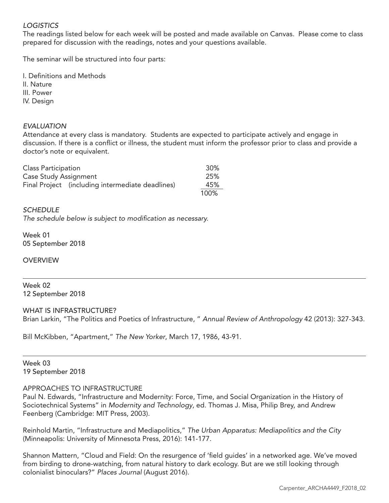# *LOGISTICS*

The readings listed below for each week will be posted and made available on Canvas. Please come to class prepared for discussion with the readings, notes and your questions available.

The seminar will be structured into four parts:

I. Definitions and Methods

II. Nature

III. Power

IV. Design

# *EVALUATION*

Attendance at every class is mandatory. Students are expected to participate actively and engage in discussion. If there is a conflict or illness, the student must inform the professor prior to class and provide a doctor's note or equivalent.

| Class Participation                              | 30%  |
|--------------------------------------------------|------|
| Case Study Assignment                            | 25%  |
| Final Project (including intermediate deadlines) | 45%  |
|                                                  | 100% |

#### *SCHEDULE*

*The schedule below is subject to modification as necessary.*

Week 01 05 September 2018

**OVERVIEW** 

Week 02 12 September 2018

WHAT IS INFRASTRUCTURE?

Brian Larkin, "The Politics and Poetics of Infrastructure, " *Annual Review of Anthropology* 42 (2013): 327-343.

Bill McKibben, "Apartment," *The New Yorker*, March 17, 1986, 43-91.

Week 03 19 September 2018

#### APPROACHES TO INFRASTRUCTURE

Paul N. Edwards, "Infrastructure and Modernity: Force, Time, and Social Organization in the History of Sociotechnical Systems" in *Modernity and Technology*, ed. Thomas J. Misa, Philip Brey, and Andrew Feenberg (Cambridge: MIT Press, 2003).

Reinhold Martin, "Infrastructure and Mediapolitics," *The Urban Apparatus: Mediapolitics and the City* (Minneapolis: University of Minnesota Press, 2016): 141-177.

Shannon Mattern, "Cloud and Field: On the resurgence of 'field guides' in a networked age. We've moved from birding to drone-watching, from natural history to dark ecology. But are we still looking through colonialist binoculars?" *Places Journal* (August 2016).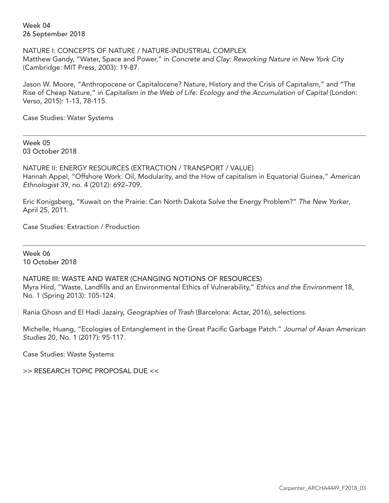Week 04 26 September 2018

NATURE I: CONCEPTS OF NATURE / NATURE-INDUSTRIAL COMPLEX Matthew Gandy, "Water, Space and Power," in *Concrete and Clay: Reworking Nature in New York City* (Cambridge: MIT Press, 2003): 19-87.

Jason W. Moore, "Anthropocene or Capitalocene? Nature, History and the Crisis of Capitalism," and "The Rise of Cheap Nature," in *Capitalism in the Web of Life: Ecology and the Accumulation of Capital* (London: Verso, 2015): 1-13, 78-115.

Case Studies: Water Systems

Week 05 03 October 2018

NATURE II: ENERGY RESOURCES (EXTRACTION / TRANSPORT / VALUE) Hannah Appel, "Offshore Work: Oil, Modularity, and the How of capitalism in Equatorial Guinea," *American Ethnologist* 39, no. 4 (2012): 692–709.

Eric Konigsberg, "Kuwait on the Prairie: Can North Dakota Solve the Energy Problem?" *The New Yorker*, April 25, 2011.

Case Studies: Extraction / Production

Week 06 10 October 2018

NATURE III: WASTE AND WATER (CHANGING NOTIONS OF RESOURCES) Myra Hird, "Waste, Landfills and an Environmental Ethics of Vulnerability," *Ethics and the Environment* 18, No. 1 (Spring 2013): 105-124.

Rania Ghosn and El Hadi Jazairy, *Geographies of Trash* (Barcelona: Actar, 2016), selections.

Michelle, Huang, "Ecologies of Entanglement in the Great Pacific Garbage Patch." *Journal of Asian American Studies* 20, No. 1 (2017): 95-117.

Case Studies: Waste Systems

>> RESEARCH TOPIC PROPOSAL DUE <<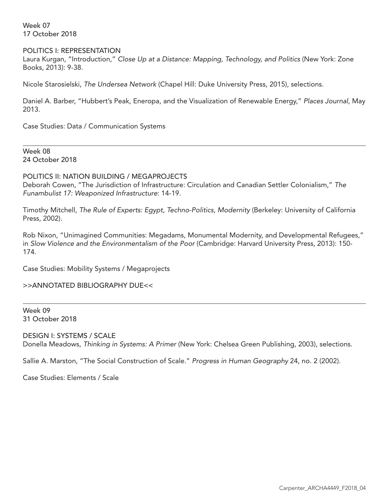Week 07 17 October 2018

#### POLITICS I: REPRESENTATION

Laura Kurgan, "Introduction," *Close Up at a Distance: Mapping, Technology, and Politics* (New York: Zone Books, 2013): 9-38.

Nicole Starosielski, *The Undersea Network* (Chapel Hill: Duke University Press, 2015), selections.

Daniel A. Barber, "Hubbert's Peak, Eneropa, and the Visualization of Renewable Energy," *Places Journal*, May 2013.

Case Studies: Data / Communication Systems

Week 08 24 October 2018

POLITICS II: NATION BUILDING / MEGAPROJECTS Deborah Cowen, "The Jurisdiction of Infrastructure: Circulation and Canadian Settler Colonialism," *The Funambulist 17: Weaponized Infrastructure*: 14-19.

Timothy Mitchell, *The Rule of Experts: Egypt, Techno-Politics, Modernity* (Berkeley: University of California Press, 2002).

Rob Nixon, "Unimagined Communities: Megadams, Monumental Modernity, and Developmental Refugees," in *Slow Violence and the Environmentalism of the Poor* (Cambridge: Harvard University Press, 2013): 150- 174.

Case Studies: Mobility Systems / Megaprojects

>>ANNOTATED BIBLIOGRAPHY DUE<<

Week 09 31 October 2018

DESIGN I: SYSTEMS / SCALE Donella Meadows, *Thinking in Systems: A Primer* (New York: Chelsea Green Publishing, 2003), selections.

Sallie A. Marston, "The Social Construction of Scale." *Progress in Human Geography* 24, no. 2 (2002).

Case Studies: Elements / Scale